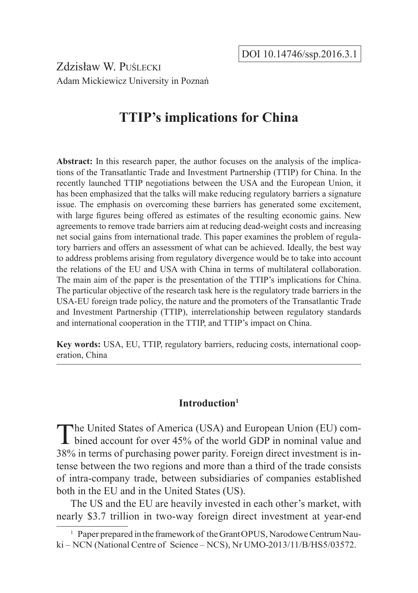Zdzisław W. Puślecki Adam Mickiewicz University in Poznań

# **TTIP's implications for China**

**Abstract:** In this research paper, the author focuses on the analysis of the implications of the Transatlantic Trade and Investment Partnership (TTIP) for China. In the recently launched TTIP negotiations between the USA and the European Union, it has been emphasized that the talks will make reducing regulatory barriers a signature issue. The emphasis on overcoming these barriers has generated some excitement, with large figures being offered as estimates of the resulting economic gains. New agreements to remove trade barriers aim at reducing dead-weight costs and increasing net social gains from international trade. This paper examines the problem of regulatory barriers and offers an assessment of what can be achieved. Ideally, the best way to address problems arising from regulatory divergence would be to take into account the relations of the EU and USA with China in terms of multilateral collaboration. The main aim of the paper is the presentation of the TTIP's implications for China. The particular objective of the research task here is the regulatory trade barriers in the USA-EU foreign trade policy, the nature and the promoters of the Transatlantic Trade and Investment Partnership (TTIP), interrelationship between regulatory standards and international cooperation in the TTIP, and TTIP's impact on China.

**Key words:** USA, EU, TTIP, regulatory barriers, reducing costs, international cooperation, China

### **Introduction1**

The United States of America (USA) and European Union (EU) combined account for over 45% of the world GDP in nominal value and 38% in terms of purchasing power parity. Foreign direct investment is intense between the two regions and more than a third of the trade consists of intra-company trade, between subsidiaries of companies established both in the EU and in the United States (US).

The US and the EU are heavily invested in each other's market, with nearly \$3.7 trillion in two-way foreign direct investment at year-end

<sup>&</sup>lt;sup>1</sup> Paper prepared in the framework of the Grant OPUS, Narodowe Centrum Nauki – NCN (National Centre of Science – NCS), Nr UMO-2013/11/B/HS5/03572.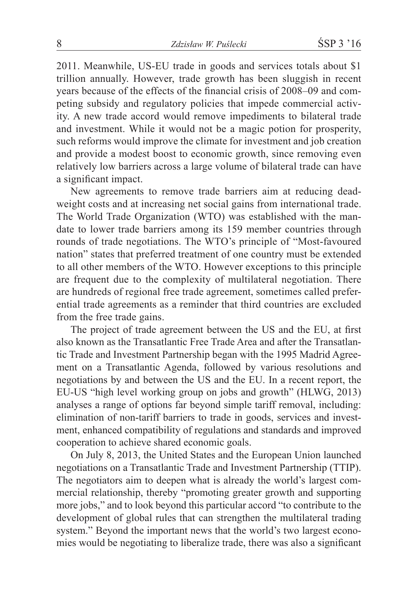2011. Meanwhile, US-EU trade in goods and services totals about \$1 trillion annually. However, trade growth has been sluggish in recent years because of the effects of the financial crisis of 2008–09 and competing subsidy and regulatory policies that impede commercial activity. A new trade accord would remove impediments to bilateral trade and investment. While it would not be a magic potion for prosperity, such reforms would improve the climate for investment and job creation and provide a modest boost to economic growth, since removing even relatively low barriers across a large volume of bilateral trade can have a significant impact.

New agreements to remove trade barriers aim at reducing deadweight costs and at increasing net social gains from international trade. The World Trade Organization (WTO) was established with the mandate to lower trade barriers among its 159 member countries through rounds of trade negotiations. The WTO's principle of "Most-favoured nation" states that preferred treatment of one country must be extended to all other members of the WTO. However exceptions to this principle are frequent due to the complexity of multilateral negotiation. There are hundreds of regional free trade agreement, sometimes called preferential trade agreements as a reminder that third countries are excluded from the free trade gains.

The project of trade agreement between the US and the EU, at first also known as the Transatlantic Free Trade Area and after the Transatlantic Trade and Investment Partnership began with the 1995 Madrid Agreement on a Transatlantic Agenda, followed by various resolutions and negotiations by and between the US and the EU. In a recent report, the EU-US "high level working group on jobs and growth" (HLWG, 2013) analyses a range of options far beyond simple tariff removal, including: elimination of non-tariff barriers to trade in goods, services and investment, enhanced compatibility of regulations and standards and improved cooperation to achieve shared economic goals.

On July 8, 2013, the United States and the European Union launched negotiations on a Transatlantic Trade and Investment Partnership (TTIP). The negotiators aim to deepen what is already the world's largest commercial relationship, thereby "promoting greater growth and supporting more jobs," and to look beyond this particular accord "to contribute to the development of global rules that can strengthen the multilateral trading system." Beyond the important news that the world's two largest economies would be negotiating to liberalize trade, there was also a significant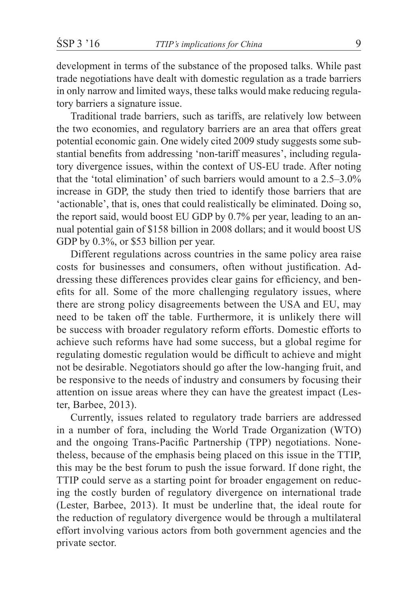development in terms of the substance of the proposed talks. While past trade negotiations have dealt with domestic regulation as a trade barriers in only narrow and limited ways, these talks would make reducing regulatory barriers a signature issue.

Traditional trade barriers, such as tariffs, are relatively low between the two economies, and regulatory barriers are an area that offers great potential economic gain. One widely cited 2009 study suggests some substantial benefits from addressing 'non-tariff measures', including regulatory divergence issues, within the context of US-EU trade. After noting that the 'total elimination' of such barriers would amount to a 2.5–3.0% increase in GDP, the study then tried to identify those barriers that are 'actionable', that is, ones that could realistically be eliminated. Doing so, the report said, would boost EU GDP by 0.7% per year, leading to an annual potential gain of \$158 billion in 2008 dollars; and it would boost US GDP by 0.3%, or \$53 billion per year.

Different regulations across countries in the same policy area raise costs for businesses and consumers, often without justification. Addressing these differences provides clear gains for efficiency, and benefits for all. Some of the more challenging regulatory issues, where there are strong policy disagreements between the USA and EU, may need to be taken off the table. Furthermore, it is unlikely there will be success with broader regulatory reform efforts. Domestic efforts to achieve such reforms have had some success, but a global regime for regulating domestic regulation would be difficult to achieve and might not be desirable. Negotiators should go after the low-hanging fruit, and be responsive to the needs of industry and consumers by focusing their attention on issue areas where they can have the greatest impact (Lester, Barbee, 2013).

Currently, issues related to regulatory trade barriers are addressed in a number of fora, including the World Trade Organization (WTO) and the ongoing Trans-Pacific Partnership (TPP) negotiations. Nonetheless, because of the emphasis being placed on this issue in the TTIP, this may be the best forum to push the issue forward. If done right, the TTIP could serve as a starting point for broader engagement on reducing the costly burden of regulatory divergence on international trade (Lester, Barbee, 2013). It must be underline that, the ideal route for the reduction of regulatory divergence would be through a multilateral effort involving various actors from both government agencies and the private sector.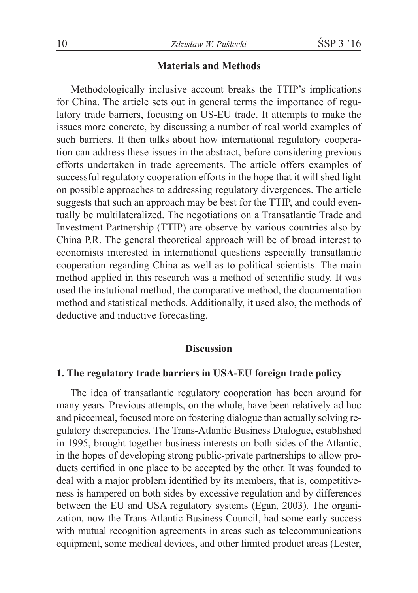### **Materials and Methods**

Methodologically inclusive account breaks the TTIP's implications for China. The article sets out in general terms the importance of regulatory trade barriers, focusing on US-EU trade. It attempts to make the issues more concrete, by discussing a number of real world examples of such barriers. It then talks about how international regulatory cooperation can address these issues in the abstract, before considering previous efforts undertaken in trade agreements. The article offers examples of successful regulatory cooperation efforts in the hope that it will shed light on possible approaches to addressing regulatory divergences. The article suggests that such an approach may be best for the TTIP, and could eventually be multilateralized. The negotiations on a Transatlantic Trade and Investment Partnership (TTIP) are observe by various countries also by China P.R. The general theoretical approach will be of broad interest to economists interested in international questions especially transatlantic cooperation regarding China as well as to political scientists. The main method applied in this research was a method of scientific study. It was used the instutional method, the comparative method, the documentation method and statistical methods. Additionally, it used also, the methods of deductive and inductive forecasting.

#### **Discussion**

#### **1. The regulatory trade barriers in USA-EU foreign trade policy**

The idea of transatlantic regulatory cooperation has been around for many years. Previous attempts, on the whole, have been relatively ad hoc and piecemeal, focused more on fostering dialogue than actually solving regulatory discrepancies. The Trans-Atlantic Business Dialogue, established in 1995, brought together business interests on both sides of the Atlantic, in the hopes of developing strong public-private partnerships to allow products certified in one place to be accepted by the other. It was founded to deal with a major problem identified by its members, that is, competitiveness is hampered on both sides by excessive regulation and by differences between the EU and USA regulatory systems (Egan, 2003). The organization, now the Trans-Atlantic Business Council, had some early success with mutual recognition agreements in areas such as telecommunications equipment, some medical devices, and other limited product areas (Lester,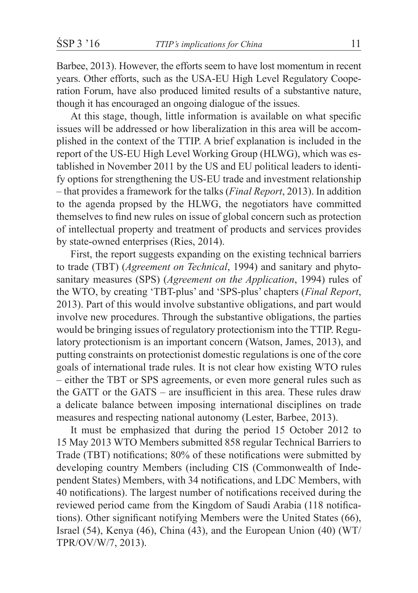Barbee, 2013). However, the efforts seem to have lost momentum in recent years. Other efforts, such as the USA-EU High Level Regulatory Cooperation Forum, have also produced limited results of a substantive nature, though it has encouraged an ongoing dialogue of the issues.

At this stage, though, little information is available on what specific issues will be addressed or how liberalization in this area will be accomplished in the context of the TTIP. A brief explanation is included in the report of the US-EU High Level Working Group (HLWG), which was established in November 2011 by the US and EU political leaders to identify options for strengthening the US-EU trade and investment relationship – that provides a framework for the talks (*Final Report*, 2013). In addition to the agenda propsed by the HLWG, the negotiators have committed themselves to find new rules on issue of global concern such as protection of intellectual property and treatment of products and services provides by state-owned enterprises (Ries, 2014).

First, the report suggests expanding on the existing technical barriers to trade (TBT) (*Agreement on Technical*, 1994) and sanitary and phytosanitary measures (SPS) (*Agreement on the Application*, 1994) rules of the WTO, by creating 'TBT-plus' and 'SPS-plus' chapters (*Final Report*, 2013). Part of this would involve substantive obligations, and part would involve new procedures. Through the substantive obligations, the parties would be bringing issues of regulatory protectionism into the TTIP. Regulatory protectionism is an important concern (Watson, James, 2013), and putting constraints on protectionist domestic regulations is one of the core goals of international trade rules. It is not clear how existing WTO rules – either the TBT or SPS agreements, or even more general rules such as the GATT or the GATS – are insufficient in this area. These rules draw a delicate balance between imposing international disciplines on trade measures and respecting national autonomy (Lester, Barbee, 2013).

It must be emphasized that during the period 15 October 2012 to 15 May 2013 WTO Members submitted 858 regular Technical Barriers to Trade (TBT) notifications; 80% of these notifications were submitted by developing country Members (including CIS (Commonwealth of Independent States) Members, with 34 notifications, and LDC Members, with 40 notifications). The largest number of notifications received during the reviewed period came from the Kingdom of Saudi Arabia (118 notifications). Other significant notifying Members were the United States (66), Israel (54), Kenya (46), China (43), and the European Union (40) (WT/ TPR/OV/W/7, 2013).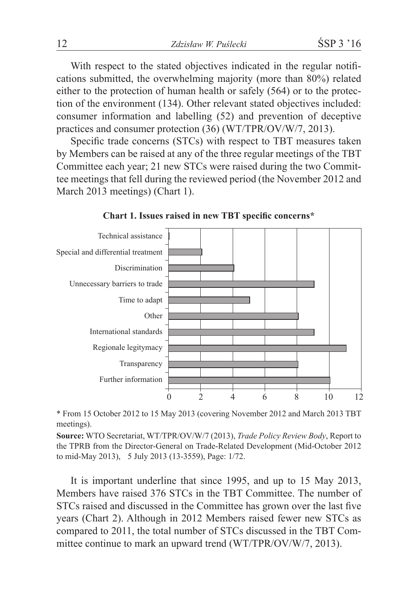With respect to the stated objectives indicated in the regular notifications submitted, the overwhelming majority (more than 80%) related either to the protection of human health or safely (564) or to the protection of the environment (134). Other relevant stated objectives included: consumer information and labelling (52) and prevention of deceptive practices and consumer protection (36) (WT/TPR/OV/W/7, 2013).

Specific trade concerns (STCs) with respect to TBT measures taken by Members can be raised at any of the three regular meetings of the TBT Committee each year; 21 new STCs were raised during the two Committee meetings that fell during the reviewed period (the November 2012 and March 2013 meetings) (Chart 1).



**Chart 1. Issues raised in new TBT specific concerns\***

\* From 15 October 2012 to 15 May 2013 (covering November 2012 and March 2013 TBT meetings).

**Source:** WTO Secretariat, WT/TPR/OV/W/7 (2013), *Trade Policy Review Body*, Report to the TPRB from the Director-General on Trade-Related Development (Mid-October 2012 to mid-May 2013),**m**5 July 2013 (13-3559), Page: 1/72.

It is important underline that since 1995, and up to 15 May 2013, Members have raised 376 STCs in the TBT Committee. The number of STCs raised and discussed in the Committee has grown over the last five years (Chart 2). Although in 2012 Members raised fewer new STCs as compared to 2011, the total number of STCs discussed in the TBT Committee continue to mark an upward trend (WT/TPR/OV/W/7, 2013).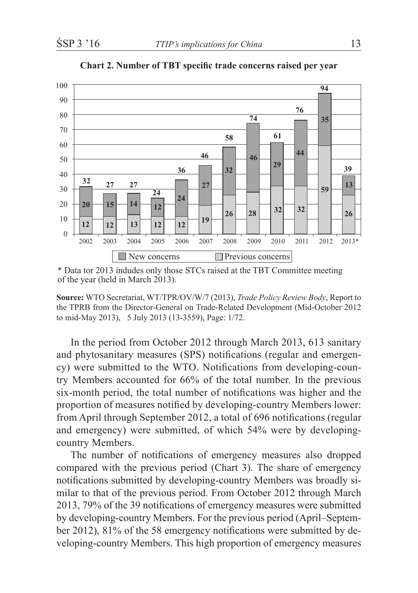

**Chart 2. Number of TBT specific trade concerns raised per year**

\* Data tor 2013 indudes only those STCs raised at the TBT Committee meeting of the year (held in March 2013).

**Source:** WTO Secretariat, WT/TPR/OV/W/7 (2013), *Trade Policy Review Body*, Report to the TPRB from the Director-General on Trade-Related Development (Mid-October 2012 to mid-May 2013), 5 July 2013 (13-3559), Page: 1/72.

In the period from October 2012 through March 2013, 613 sanitary and phytosanitary measures (SPS) notifications (regular and emergency) were submitted to the WTO. Notifications from developing-country Members accounted for 66% of the total number. In the previous six-month period, the total number of notifications was higher and the proportion of measures notified by developing-country Members lower: from April through September 2012, a total of 696 notifications (regular and emergency) were submitted, of which 54% were by developingcountry Members.

The number of notifications of emergency measures also dropped compared with the previous period (Chart 3). The share of emergency notifications submitted by developing-country Members was broadly similar to that of the previous period. From October 2012 through March 2013, 79% of the 39 notifications of emergency measures were submitted by developing-country Members. For the previous period (April–September 2012), 81% of the 58 emergency notifications were submitted by developing-country Members. This high proportion of emergency measures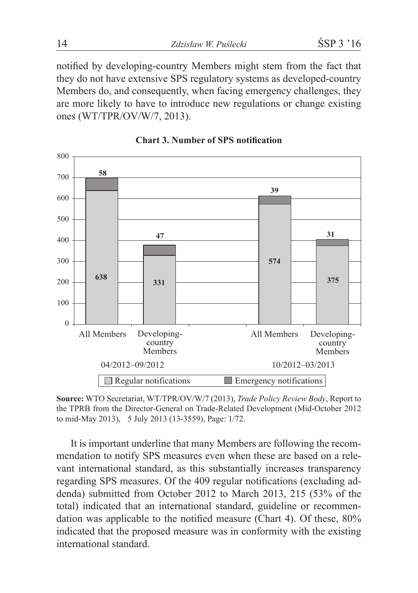notified by developing-country Members might stem from the fact that they do not have extensive SPS regulatory systems as developed-country Members do, and consequently, when facing emergency challenges, they are more likely to have to introduce new regulations or change existing ones (WT/TPR/OV/W/7, 2013).



**Chart 3. Number of SPS notification**

**Source:** WTO Secretariat, WT/TPR/OV/W/7 (2013), *Trade Policy Review Body*, Report to the TPRB from the Director-General on Trade-Related Development (Mid-October 2012 to mid-May 2013),**m**5 July 2013 (13-3559), Page: 1/72.

It is important underline that many Members are following the recommendation to notify SPS measures even when these are based on a relevant international standard, as this substantially increases transparency regarding SPS measures. Of the 409 regular notifications (excluding addenda) submitted from October 2012 to March 2013, 215 (53% of the total) indicated that an international standard, guideline or recommendation was applicable to the notified measure (Chart 4). Of these, 80% indicated that the proposed measure was in conformity with the existing international standard.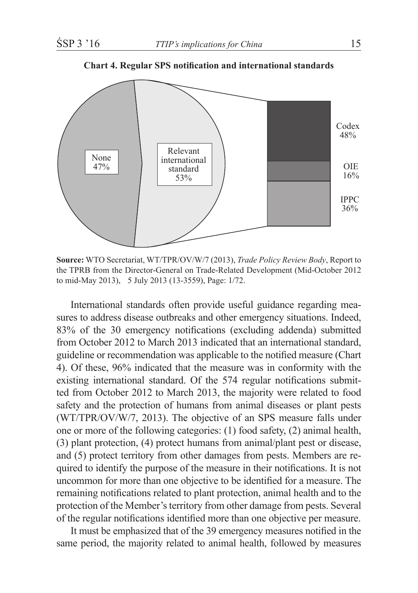

**Chart 4. Regular SPS notification and international standards**

**Source:** WTO Secretariat, WT/TPR/OV/W/7 (2013), *Trade Policy Review Body*, Report to the TPRB from the Director-General on Trade-Related Development (Mid-October 2012 to mid-May 2013),**m**5 July 2013 (13-3559), Page: 1/72.

International standards often provide useful guidance regarding measures to address disease outbreaks and other emergency situations. Indeed, 83% of the 30 emergency notifications (excluding addenda) submitted from October 2012 to March 2013 indicated that an international standard, guideline or recommendation was applicable to the notified measure (Chart 4). Of these, 96% indicated that the measure was in conformity with the existing international standard. Of the 574 regular notifications submitted from October 2012 to March 2013, the majority were related to food safety and the protection of humans from animal diseases or plant pests (WT/TPR/OV/W/7, 2013). The objective of an SPS measure falls under one or more of the following categories: (1) food safety, (2) animal health, (3) plant protection, (4) protect humans from animal/plant pest or disease, and (5) protect territory from other damages from pests. Members are required to identify the purpose of the measure in their notifications. It is not uncommon for more than one objective to be identified for a measure. The remaining notifications related to plant protection, animal health and to the protection of the Member's territory from other damage from pests. Several of the regular notifications identified more than one objective per measure.

It must be emphasized that of the 39 emergency measures notified in the same period, the majority related to animal health, followed by measures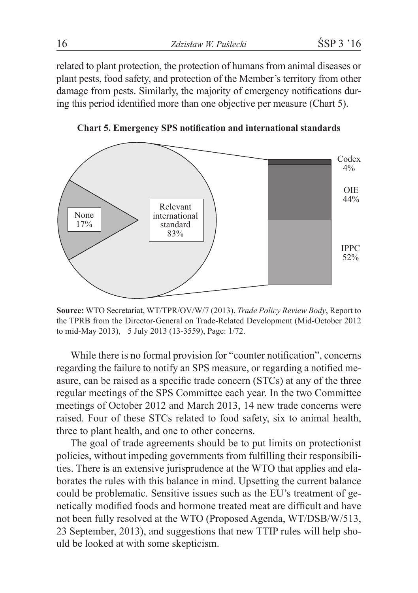related to plant protection, the protection of humans from animal diseases or plant pests, food safety, and protection of the Member's territory from other damage from pests. Similarly, the majority of emergency notifications during this period identified more than one objective per measure (Chart 5).



**Chart 5. Emergency SPS notification and international standards**

**Source:** WTO Secretariat, WT/TPR/OV/W/7 (2013), *Trade Policy Review Body*, Report to the TPRB from the Director-General on Trade-Related Development (Mid-October 2012 to mid-May 2013),**m**5 July 2013 (13-3559), Page: 1/72.

While there is no formal provision for "counter notification", concerns regarding the failure to notify an SPS measure, or regarding a notified measure, can be raised as a specific trade concern (STCs) at any of the three regular meetings of the SPS Committee each year. In the two Committee meetings of October 2012 and March 2013, 14 new trade concerns were raised. Four of these STCs related to food safety, six to animal health, three to plant health, and one to other concerns.

The goal of trade agreements should be to put limits on protectionist policies, without impeding governments from fulfilling their responsibilities. There is an extensive jurisprudence at the WTO that applies and elaborates the rules with this balance in mind. Upsetting the current balance could be problematic. Sensitive issues such as the EU's treatment of genetically modified foods and hormone treated meat are difficult and have not been fully resolved at the WTO (Proposed Agenda, WT/DSB/W/513, 23 September, 2013), and suggestions that new TTIP rules will help should be looked at with some skepticism.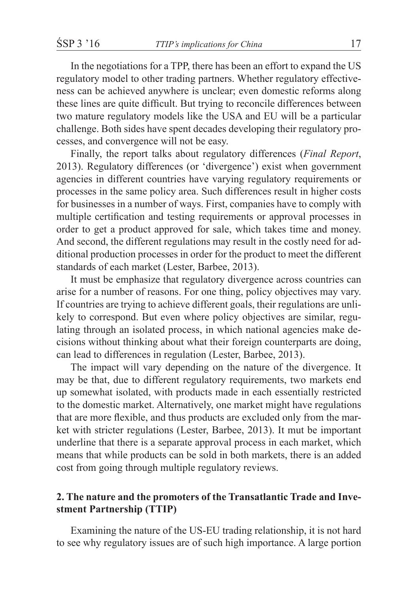In the negotiations for a TPP, there has been an effort to expand the US regulatory model to other trading partners. Whether regulatory effectiveness can be achieved anywhere is unclear; even domestic reforms along these lines are quite difficult. But trying to reconcile differences between two mature regulatory models like the USA and EU will be a particular challenge. Both sides have spent decades developing their regulatory processes, and convergence will not be easy.

Finally, the report talks about regulatory differences (*Final Report*, 2013). Regulatory differences (or 'divergence') exist when government agencies in different countries have varying regulatory requirements or processes in the same policy area. Such differences result in higher costs for businesses in a number of ways. First, companies have to comply with multiple certification and testing requirements or approval processes in order to get a product approved for sale, which takes time and money. And second, the different regulations may result in the costly need for additional production processes in order for the product to meet the different standards of each market (Lester, Barbee, 2013).

It must be emphasize that regulatory divergence across countries can arise for a number of reasons. For one thing, policy objectives may vary. If countries are trying to achieve different goals, their regulations are unlikely to correspond. But even where policy objectives are similar, regulating through an isolated process, in which national agencies make decisions without thinking about what their foreign counterparts are doing, can lead to differences in regulation (Lester, Barbee, 2013).

The impact will vary depending on the nature of the divergence. It may be that, due to different regulatory requirements, two markets end up somewhat isolated, with products made in each essentially restricted to the domestic market. Alternatively, one market might have regulations that are more flexible, and thus products are excluded only from the market with stricter regulations (Lester, Barbee, 2013). It mut be important underline that there is a separate approval process in each market, which means that while products can be sold in both markets, there is an added cost from going through multiple regulatory reviews.

### **2. The nature and the promoters of the Transatlantic Trade and Investment Partnership (TTIP)**

Examining the nature of the US-EU trading relationship, it is not hard to see why regulatory issues are of such high importance. A large portion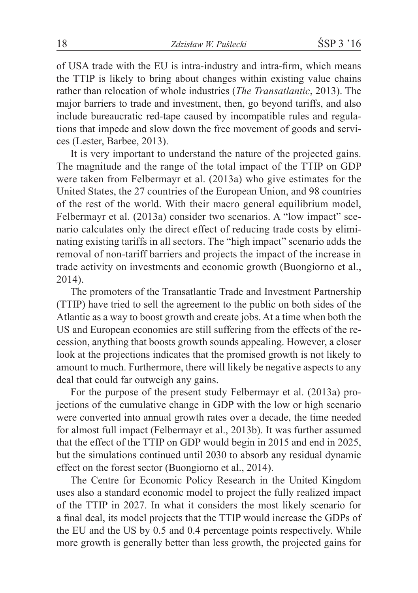of USA trade with the EU is intra-industry and intra-firm, which means the TTIP is likely to bring about changes within existing value chains rather than relocation of whole industries (*The Transatlantic*, 2013). The major barriers to trade and investment, then, go beyond tariffs, and also include bureaucratic red-tape caused by incompatible rules and regulations that impede and slow down the free movement of goods and services (Lester, Barbee, 2013).

It is very important to understand the nature of the projected gains. The magnitude and the range of the total impact of the TTIP on GDP were taken from Felbermayr et al. (2013a) who give estimates for the United States, the 27 countries of the European Union, and 98 countries of the rest of the world. With their macro general equilibrium model, Felbermayr et al. (2013a) consider two scenarios. A "low impact" scenario calculates only the direct effect of reducing trade costs by eliminating existing tariffs in all sectors. The "high impact" scenario adds the removal of non-tariff barriers and projects the impact of the increase in trade activity on investments and economic growth (Buongiorno et al., 2014).

The promoters of the Transatlantic Trade and Investment Partnership (TTIP) have tried to sell the agreement to the public on both sides of the Atlantic as a way to boost growth and create jobs. At a time when both the US and European economies are still suffering from the effects of the recession, anything that boosts growth sounds appealing. However, a closer look at the projections indicates that the promised growth is not likely to amount to much. Furthermore, there will likely be negative aspects to any deal that could far outweigh any gains.

For the purpose of the present study Felbermayr et al. (2013a) projections of the cumulative change in GDP with the low or high scenario were converted into annual growth rates over a decade, the time needed for almost full impact (Felbermayr et al., 2013b). It was further assumed that the effect of the TTIP on GDP would begin in 2015 and end in 2025, but the simulations continued until 2030 to absorb any residual dynamic effect on the forest sector (Buongiorno et al., 2014).

The Centre for Economic Policy Research in the United Kingdom uses also a standard economic model to project the fully realized impact of the TTIP in 2027. In what it considers the most likely scenario for a final deal, its model projects that the TTIP would increase the GDPs of the EU and the US by 0.5 and 0.4 percentage points respectively. While more growth is generally better than less growth, the projected gains for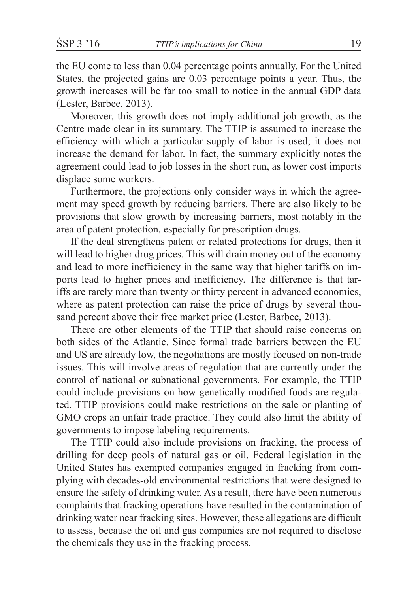the EU come to less than 0.04 percentage points annually. For the United States, the projected gains are 0.03 percentage points a year. Thus, the growth increases will be far too small to notice in the annual GDP data (Lester, Barbee, 2013).

Moreover, this growth does not imply additional job growth, as the Centre made clear in its summary. The TTIP is assumed to increase the efficiency with which a particular supply of labor is used; it does not increase the demand for labor. In fact, the summary explicitly notes the agreement could lead to job losses in the short run, as lower cost imports displace some workers.

Furthermore, the projections only consider ways in which the agreement may speed growth by reducing barriers. There are also likely to be provisions that slow growth by increasing barriers, most notably in the area of patent protection, especially for prescription drugs.

If the deal strengthens patent or related protections for drugs, then it will lead to higher drug prices. This will drain money out of the economy and lead to more inefficiency in the same way that higher tariffs on imports lead to higher prices and inefficiency. The difference is that tariffs are rarely more than twenty or thirty percent in advanced economies, where as patent protection can raise the price of drugs by several thousand percent above their free market price (Lester, Barbee, 2013).

There are other elements of the TTIP that should raise concerns on both sides of the Atlantic. Since formal trade barriers between the EU and US are already low, the negotiations are mostly focused on non-trade issues. This will involve areas of regulation that are currently under the control of national or subnational governments. For example, the TTIP could include provisions on how genetically modified foods are regulated. TTIP provisions could make restrictions on the sale or planting of GMO crops an unfair trade practice. They could also limit the ability of governments to impose labeling requirements.

The TTIP could also include provisions on fracking, the process of drilling for deep pools of natural gas or oil. Federal legislation in the United States has exempted companies engaged in fracking from complying with decades-old environmental restrictions that were designed to ensure the safety of drinking water. As a result, there have been numerous complaints that fracking operations have resulted in the contamination of drinking water near fracking sites. However, these allegations are difficult to assess, because the oil and gas companies are not required to disclose the chemicals they use in the fracking process.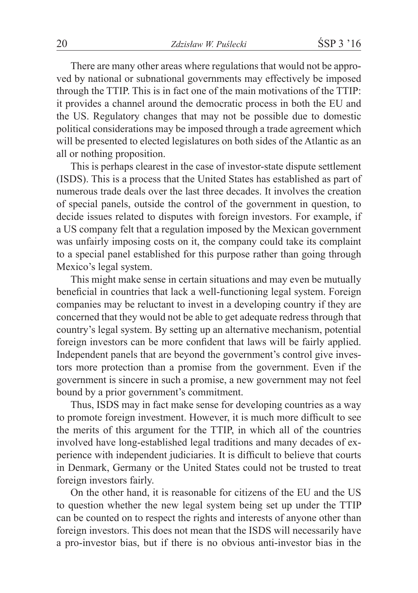There are many other areas where regulations that would not be approved by national or subnational governments may effectively be imposed through the TTIP. This is in fact one of the main motivations of the TTIP: it provides a channel around the democratic process in both the EU and the US. Regulatory changes that may not be possible due to domestic political considerations may be imposed through a trade agreement which will be presented to elected legislatures on both sides of the Atlantic as an all or nothing proposition.

This is perhaps clearest in the case of investor-state dispute settlement (ISDS). This is a process that the United States has established as part of numerous trade deals over the last three decades. It involves the creation of special panels, outside the control of the government in question, to decide issues related to disputes with foreign investors. For example, if a US company felt that a regulation imposed by the Mexican government was unfairly imposing costs on it, the company could take its complaint to a special panel established for this purpose rather than going through Mexico's legal system.

This might make sense in certain situations and may even be mutually beneficial in countries that lack a well-functioning legal system. Foreign companies may be reluctant to invest in a developing country if they are concerned that they would not be able to get adequate redress through that country's legal system. By setting up an alternative mechanism, potential foreign investors can be more confident that laws will be fairly applied. Independent panels that are beyond the government's control give investors more protection than a promise from the government. Even if the government is sincere in such a promise, a new government may not feel bound by a prior government's commitment.

Thus, ISDS may in fact make sense for developing countries as a way to promote foreign investment. However, it is much more difficult to see the merits of this argument for the TTIP, in which all of the countries involved have long-established legal traditions and many decades of experience with independent judiciaries. It is difficult to believe that courts in Denmark, Germany or the United States could not be trusted to treat foreign investors fairly.

On the other hand, it is reasonable for citizens of the EU and the US to question whether the new legal system being set up under the TTIP can be counted on to respect the rights and interests of anyone other than foreign investors. This does not mean that the ISDS will necessarily have a pro-investor bias, but if there is no obvious anti-investor bias in the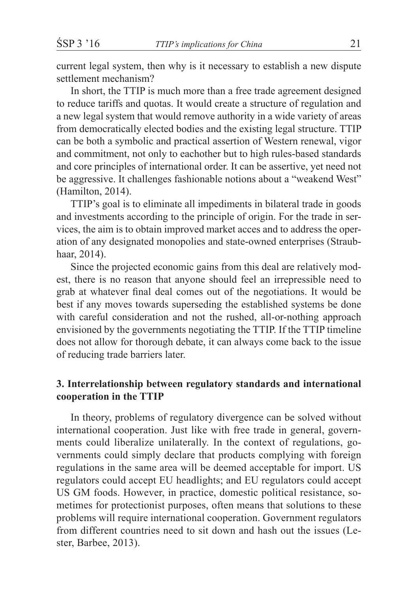current legal system, then why is it necessary to establish a new dispute settlement mechanism?

In short, the TTIP is much more than a free trade agreement designed to reduce tariffs and quotas. It would create a structure of regulation and a new legal system that would remove authority in a wide variety of areas from democratically elected bodies and the existing legal structure. TTIP can be both a symbolic and practical assertion of Western renewal, vigor and commitment, not only to eachother but to high rules-based standards and core principles of international order. It can be assertive, yet need not be aggressive. It challenges fashionable notions about a "weakend West" (Hamilton, 2014).

TTIP's goal is to eliminate all impediments in bilateral trade in goods and investments according to the principle of origin. For the trade in services, the aim is to obtain improved market acces and to address the operation of any designated monopolies and state-owned enterprises (Straubhaar, 2014).

Since the projected economic gains from this deal are relatively modest, there is no reason that anyone should feel an irrepressible need to grab at whatever final deal comes out of the negotiations. It would be best if any moves towards superseding the established systems be done with careful consideration and not the rushed, all-or-nothing approach envisioned by the governments negotiating the TTIP. If the TTIP timeline does not allow for thorough debate, it can always come back to the issue of reducing trade barriers later.

## **3. Interrelationship between regulatory standards and international cooperation in the TTIP**

In theory, problems of regulatory divergence can be solved without international cooperation. Just like with free trade in general, governments could liberalize unilaterally. In the context of regulations, governments could simply declare that products complying with foreign regulations in the same area will be deemed acceptable for import. US regulators could accept EU headlights; and EU regulators could accept US GM foods. However, in practice, domestic political resistance, sometimes for protectionist purposes, often means that solutions to these problems will require international cooperation. Government regulators from different countries need to sit down and hash out the issues (Lester, Barbee, 2013).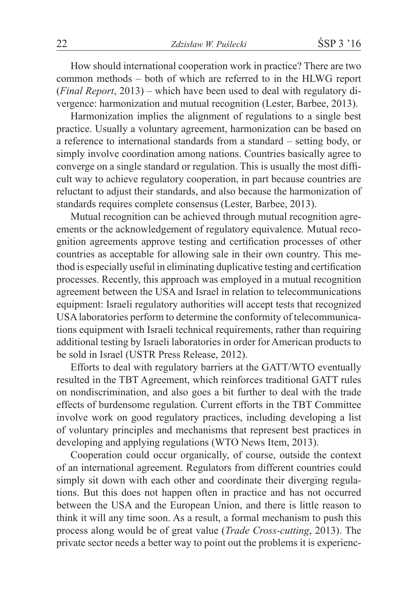How should international cooperation work in practice? There are two common methods – both of which are referred to in the HLWG report (*Final Report*, 2013) – which have been used to deal with regulatory divergence: harmonization and mutual recognition (Lester, Barbee, 2013).

Harmonization implies the alignment of regulations to a single best practice. Usually a voluntary agreement, harmonization can be based on a reference to international standards from a standard  $-$  setting body, or simply involve coordination among nations. Countries basically agree to converge on a single standard or regulation. This is usually the most difficult way to achieve regulatory cooperation, in part because countries are reluctant to adjust their standards, and also because the harmonization of standards requires complete consensus (Lester, Barbee, 2013).

Mutual recognition can be achieved through mutual recognition agreements or the acknowledgement of regulatory equivalence*.* Mutual recognition agreements approve testing and certification processes of other countries as acceptable for allowing sale in their own country. This method is especially useful in eliminating duplicative testing and certification processes. Recently, this approach was employed in a mutual recognition agreement between the USA and Israel in relation to telecommunications equipment: Israeli regulatory authorities will accept tests that recognized USA laboratories perform to determine the conformity of telecommunications equipment with Israeli technical requirements, rather than requiring additional testing by Israeli laboratories in order for American products to be sold in Israel (USTR Press Release, 2012).

Efforts to deal with regulatory barriers at the GATT/WTO eventually resulted in the TBT Agreement, which reinforces traditional GATT rules on nondiscrimination, and also goes a bit further to deal with the trade effects of burdensome regulation. Current efforts in the TBT Committee involve work on good regulatory practices, including developing a list of voluntary principles and mechanisms that represent best practices in developing and applying regulations (WTO News Item, 2013).

Cooperation could occur organically, of course, outside the context of an international agreement. Regulators from different countries could simply sit down with each other and coordinate their diverging regulations. But this does not happen often in practice and has not occurred between the USA and the European Union, and there is little reason to think it will any time soon. As a result, a formal mechanism to push this process along would be of great value (*Trade Cross-cutting*, 2013). The private sector needs a better way to point out the problems it is experienc-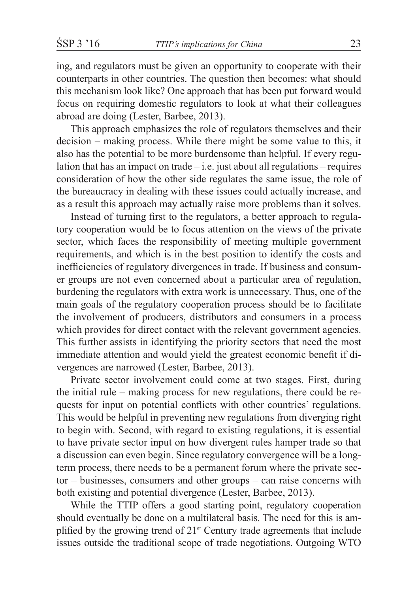ing, and regulators must be given an opportunity to cooperate with their counterparts in other countries. The question then becomes: what should this mechanism look like? One approach that has been put forward would focus on requiring domestic regulators to look at what their colleagues abroad are doing (Lester, Barbee, 2013).

This approach emphasizes the role of regulators themselves and their decision – making process. While there might be some value to this, it also has the potential to be more burdensome than helpful. If every regulation that has an impact on trade – i.e. just about all regulations – requires consideration of how the other side regulates the same issue, the role of the bureaucracy in dealing with these issues could actually increase, and as a result this approach may actually raise more problems than it solves.

Instead of turning first to the regulators, a better approach to regulatory cooperation would be to focus attention on the views of the private sector, which faces the responsibility of meeting multiple government requirements, and which is in the best position to identify the costs and inefficiencies of regulatory divergences in trade. If business and consumer groups are not even concerned about a particular area of regulation, burdening the regulators with extra work is unnecessary. Thus, one of the main goals of the regulatory cooperation process should be to facilitate the involvement of producers, distributors and consumers in a process which provides for direct contact with the relevant government agencies. This further assists in identifying the priority sectors that need the most immediate attention and would yield the greatest economic benefit if divergences are narrowed (Lester, Barbee, 2013).

Private sector involvement could come at two stages. First, during the initial rule – making process for new regulations, there could be requests for input on potential conflicts with other countries' regulations. This would be helpful in preventing new regulations from diverging right to begin with. Second, with regard to existing regulations, it is essential to have private sector input on how divergent rules hamper trade so that a discussion can even begin. Since regulatory convergence will be a longterm process, there needs to be a permanent forum where the private sector – businesses, consumers and other groups – can raise concerns with both existing and potential divergence (Lester, Barbee, 2013).

While the TTIP offers a good starting point, regulatory cooperation should eventually be done on a multilateral basis. The need for this is amplified by the growing trend of 21st Century trade agreements that include issues outside the traditional scope of trade negotiations. Outgoing WTO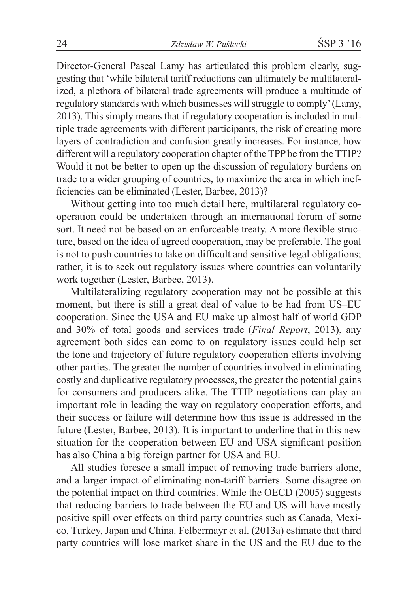Director-General Pascal Lamy has articulated this problem clearly, suggesting that 'while bilateral tariff reductions can ultimately be multilateralized, a plethora of bilateral trade agreements will produce a multitude of regulatory standards with which businesses will struggle to comply' (Lamy, 2013). This simply means that if regulatory cooperation is included in multiple trade agreements with different participants, the risk of creating more layers of contradiction and confusion greatly increases. For instance, how different will a regulatory cooperation chapter of the TPP be from the TTIP? Would it not be better to open up the discussion of regulatory burdens on trade to a wider grouping of countries, to maximize the area in which inefficiencies can be eliminated (Lester, Barbee, 2013)?

Without getting into too much detail here, multilateral regulatory cooperation could be undertaken through an international forum of some sort. It need not be based on an enforceable treaty. A more flexible structure, based on the idea of agreed cooperation, may be preferable. The goal is not to push countries to take on difficult and sensitive legal obligations; rather, it is to seek out regulatory issues where countries can voluntarily work together (Lester, Barbee, 2013).

Multilateralizing regulatory cooperation may not be possible at this moment, but there is still a great deal of value to be had from US–EU cooperation. Since the USA and EU make up almost half of world GDP and 30% of total goods and services trade (*Final Report*, 2013), any agreement both sides can come to on regulatory issues could help set the tone and trajectory of future regulatory cooperation efforts involving other parties. The greater the number of countries involved in eliminating costly and duplicative regulatory processes, the greater the potential gains for consumers and producers alike. The TTIP negotiations can play an important role in leading the way on regulatory cooperation efforts, and their success or failure will determine how this issue is addressed in the future (Lester, Barbee, 2013). It is important to underline that in this new situation for the cooperation between EU and USA significant position has also China a big foreign partner for USA and EU.

All studies foresee a small impact of removing trade barriers alone, and a larger impact of eliminating non-tariff barriers. Some disagree on the potential impact on third countries. While the OECD (2005) suggests that reducing barriers to trade between the EU and US will have mostly positive spill over effects on third party countries such as Canada, Mexico, Turkey, Japan and China. Felbermayr et al. (2013a) estimate that third party countries will lose market share in the US and the EU due to the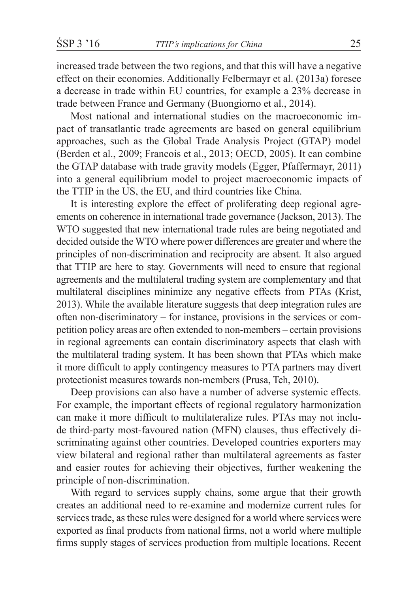increased trade between the two regions, and that this will have a negative effect on their economies. Additionally Felbermayr et al. (2013a) foresee a decrease in trade within EU countries, for example a 23% decrease in trade between France and Germany (Buongiorno et al., 2014).

Most national and international studies on the macroeconomic impact of transatlantic trade agreements are based on general equilibrium approaches, such as the Global Trade Analysis Project (GTAP) model (Berden et al., 2009; Francois et al., 2013; OECD, 2005). It can combine the GTAP database with trade gravity models (Egger, Pfaffermayr, 2011) into a general equilibrium model to project macroeconomic impacts of the TTIP in the US, the EU, and third countries like China.

It is interesting explore the effect of proliferating deep regional agreements on coherence in international trade governance (Jackson, 2013). The WTO suggested that new international trade rules are being negotiated and decided outside the WTO where power differences are greater and where the principles of non-discrimination and reciprocity are absent. It also argued that TTIP are here to stay. Governments will need to ensure that regional agreements and the multilateral trading system are complementary and that multilateral disciplines minimize any negative effects from PTAs (Krist, 2013). While the available literature suggests that deep integration rules are often non-discriminatory – for instance, provisions in the services or competition policy areas are often extended to non-members – certain provisions in regional agreements can contain discriminatory aspects that clash with the multilateral trading system. It has been shown that PTAs which make it more difficult to apply contingency measures to PTA partners may divert protectionist measures towards non-members (Prusa, Teh, 2010).

Deep provisions can also have a number of adverse systemic effects. For example, the important effects of regional regulatory harmonization can make it more difficult to multilateralize rules. PTAs may not include third-party most-favoured nation (MFN) clauses, thus effectively discriminating against other countries. Developed countries exporters may view bilateral and regional rather than multilateral agreements as faster and easier routes for achieving their objectives, further weakening the principle of non-discrimination.

With regard to services supply chains, some argue that their growth creates an additional need to re-examine and modernize current rules for services trade, as these rules were designed for a world where services were exported as final products from national firms, not a world where multiple firms supply stages of services production from multiple locations. Recent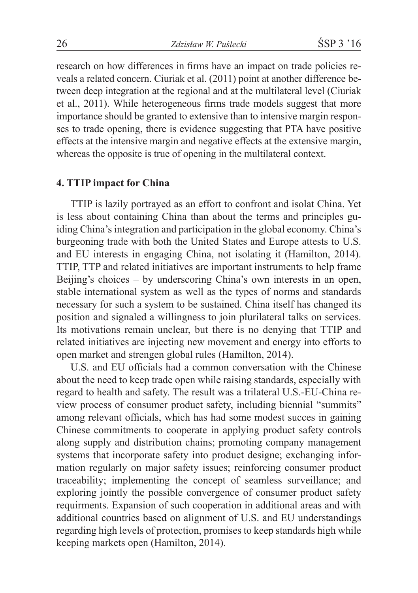research on how differences in firms have an impact on trade policies reveals a related concern. Ciuriak et al. (2011) point at another difference between deep integration at the regional and at the multilateral level (Ciuriak et al., 2011). While heterogeneous firms trade models suggest that more importance should be granted to extensive than to intensive margin responses to trade opening, there is evidence suggesting that PTA have positive effects at the intensive margin and negative effects at the extensive margin, whereas the opposite is true of opening in the multilateral context.

### **4. TTIP impact for China**

TTIP is lazily portrayed as an effort to confront and isolat China. Yet is less about containing China than about the terms and principles guiding China's integration and participation in the global economy. China's burgeoning trade with both the United States and Europe attests to U.S. and EU interests in engaging China, not isolating it (Hamilton, 2014). TTIP, TTP and related initiatives are important instruments to help frame Beijing's choices – by underscoring China's own interests in an open, stable international system as well as the types of norms and standards necessary for such a system to be sustained. China itself has changed its position and signaled a willingness to join plurilateral talks on services. Its motivations remain unclear, but there is no denying that TTIP and related initiatives are injecting new movement and energy into efforts to open market and strengen global rules (Hamilton, 2014).

U.S. and EU officials had a common conversation with the Chinese about the need to keep trade open while raising standards, especially with regard to health and safety. The result was a trilateral U.S.-EU-China review process of consumer product safety, including biennial "summits" among relevant officials, which has had some modest succes in gaining Chinese commitments to cooperate in applying product safety controls along supply and distribution chains; promoting company management systems that incorporate safety into product designe; exchanging information regularly on major safety issues; reinforcing consumer product traceability; implementing the concept of seamless surveillance; and exploring jointly the possible convergence of consumer product safety requirments. Expansion of such cooperation in additional areas and with additional countries based on alignment of U.S. and EU understandings regarding high levels of protection, promises to keep standards high while keeping markets open (Hamilton, 2014).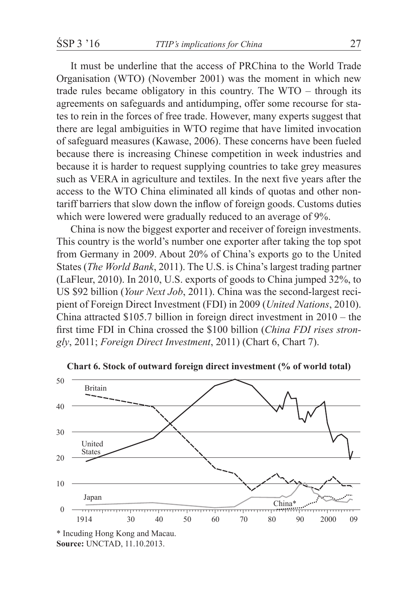It must be underline that the access of PRChina to the World Trade Organisation (WTO) (November 2001) was the moment in which new trade rules became obligatory in this country. The WTO – through its agreements on safeguards and antidumping, offer some recourse for states to rein in the forces of free trade. However, many experts suggest that there are legal ambiguities in WTO regime that have limited invocation of safeguard measures (Kawase, 2006). These concerns have been fueled because there is increasing Chinese competition in week industries and because it is harder to request supplying countries to take grey measures such as VERA in agriculture and textiles. In the next five years after the access to the WTO China eliminated all kinds of quotas and other nontariff barriers that slow down the inflow of foreign goods. Customs duties which were lowered were gradually reduced to an average of 9%.

China is now the biggest exporter and receiver of foreign investments. This country is the world's number one exporter after taking the top spot from Germany in 2009. About 20% of China's exports go to the United States (*The World Bank*, 2011). The U.S. is China's largest trading partner (LaFleur, 2010). In 2010, U.S. exports of goods to China jumped 32%, to US \$92 billion (*Your Next Job*, 2011). China was the second-largest recipient of Foreign Direct Investment (FDI) in 2009 (*United Nations*, 2010). China attracted \$105.7 billion in foreign direct investment in 2010 – the first time FDI in China crossed the \$100 billion (*China FDI rises strongly*, 2011; *Foreign Direct Investment*, 2011) (Chart 6, Chart 7).



**Chart 6. Stock of outward foreign direct investment (% of world total)**

<sup>\*</sup> Incuding Hong Kong and Macau. **Source:** UNCTAD, 11.10.2013.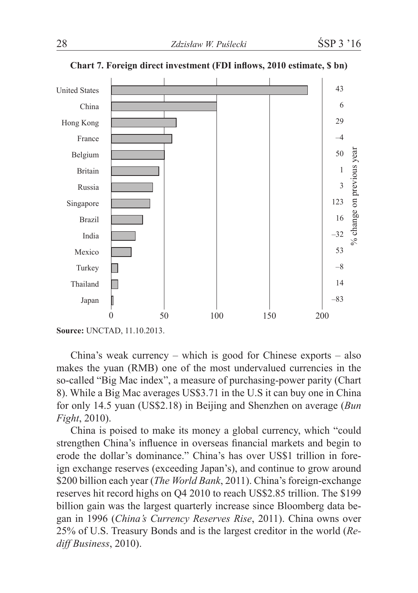

**Chart 7. Foreign direct investment (FDI inflows, 2010 estimate, \$ bn)**

China's weak currency – which is good for Chinese exports – also makes the yuan (RMB) one of the most undervalued currencies in the so-called "Big Mac index", a measure of purchasing-power parity (Chart 8). While a Big Mac averages US\$3.71 in the U.S it can buy one in China for only 14.5 yuan (US\$2.18) in Beijing and Shenzhen on average (*Bun Fight*, 2010).

China is poised to make its money a global currency, which "could strengthen China's influence in overseas financial markets and begin to erode the dollar's dominance." China's has over US\$1 trillion in foreign exchange reserves (exceeding Japan's), and continue to grow around \$200 billion each year (*The World Bank*, 2011). China's foreign-exchange reserves hit record highs on Q4 2010 to reach US\$2.85 trillion. The \$199 billion gain was the largest quarterly increase since Bloomberg data began in 1996 (*China's Currency Reserves Rise*, 2011). China owns over 25% of U.S. Treasury Bonds and is the largest creditor in the world (*Rediff Business*, 2010).

**Source:** UNCTAD, 11.10.2013.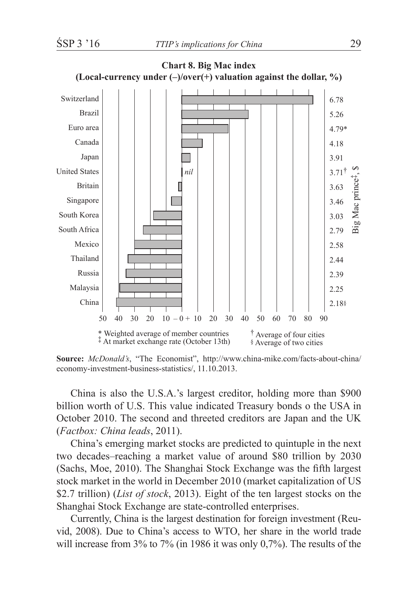

**Source:** *McDonald's*, "The Economist", http://www.china-mike.com/facts-about-china/ economy-investment-business-statistics/, 11.10.2013.

China is also the U.S.A.'s largest creditor, holding more than \$900 billion worth of U.S. This value indicated Treasury bonds o the USA in October 2010. The second and threeted creditors are Japan and the UK (*Factbox: China leads*, 2011).

China's emerging market stocks are predicted to quintuple in the next two decades–reaching a market value of around \$80 trillion by 2030 (Sachs, Moe, 2010). The Shanghai Stock Exchange was the fifth largest stock market in the world in December 2010 (market capitalization of US \$2.7 trillion) (*List of stock*, 2013). Eight of the ten largest stocks on the Shanghai Stock Exchange are state-controlled enterprises.

Currently, China is the largest destination for foreign investment (Reuvid, 2008). Due to China's access to WTO, her share in the world trade will increase from 3% to 7% (in 1986 it was only 0,7%). The results of the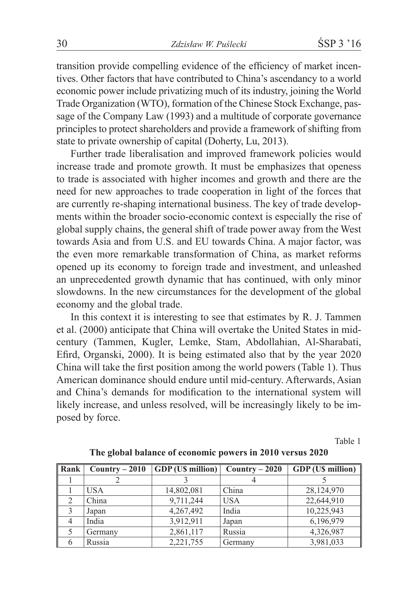transition provide compelling evidence of the efficiency of market incentives. Other factors that have contributed to China's ascendancy to a world economic power include privatizing much of its industry, joining the World Trade Organization (WTO), formation of the Chinese Stock Exchange, passage of the Company Law (1993) and a multitude of corporate governance principles to protect shareholders and provide a framework of shifting from state to private ownership of capital (Doherty, Lu, 2013).

Further trade liberalisation and improved framework policies would increase trade and promote growth. It must be emphasizes that openess to trade is associated with higher incomes and growth and there are the need for new approaches to trade cooperation in light of the forces that are currently re-shaping international business. The key of trade developments within the broader socio-economic context is especially the rise of global supply chains, the general shift of trade power away from the West towards Asia and from U.S. and EU towards China. A major factor, was the even more remarkable transformation of China, as market reforms opened up its economy to foreign trade and investment, and unleashed an unprecedented growth dynamic that has continued, with only minor slowdowns. In the new circumstances for the development of the global economy and the global trade.

In this context it is interesting to see that estimates by R. J. Tammen et al. (2000) anticipate that China will overtake the United States in midcentury (Tammen, Kugler, Lemke, Stam, Abdollahian, Al-Sharabati, Efird, Organski, 2000). It is being estimated also that by the year 2020 China will take the first position among the world powers (Table 1). Thus American dominance should endure until mid-century. Afterwards, Asian and China's demands for modification to the international system will likely increase, and unless resolved, will be increasingly likely to be imposed by force.

Table 1

| Rank           | $\overline{\text{Country}} - 2010$ | <b>GDP</b> (U\$ million) | $Country-2020$ | <b>GDP</b> (U\$ million) |
|----------------|------------------------------------|--------------------------|----------------|--------------------------|
|                |                                    |                          |                |                          |
|                | <b>USA</b>                         | 14,802,081               | China          | 28,124,970               |
| $\overline{c}$ | China                              | 9,711,244                | <b>USA</b>     | 22,644,910               |
| $\mathcal{E}$  | Japan                              | 4,267,492                | India          | 10,225,943               |
| 4              | India                              | 3,912,911                | Japan          | 6,196,979                |
|                | Germany                            | 2,861,117                | Russia         | 4,326,987                |
| 6              | Russia                             | 2,221,755                | Germany        | 3,981,033                |

**The global balance of economic powers in 2010 versus 2020**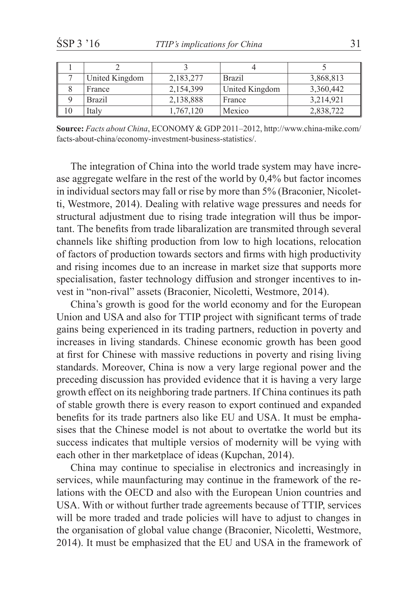| United Kingdom | 2,183,277 | <b>Brazil</b>  | 3,868,813 |
|----------------|-----------|----------------|-----------|
| France         | 2,154,399 | United Kingdom | 3,360,442 |
| Brazil         | 2,138,888 | France         | 3,214,921 |
| Italv          | 1,767,120 | Mexico         | 2,838,722 |

**Source:** *Facts about China*, ECONOMY & GDP 2011–2012, http://www.china-mike.com/ facts-about-china/economy-investment-business-statistics/.

The integration of China into the world trade system may have increase aggregate welfare in the rest of the world by 0,4% but factor incomes in individual sectors may fall or rise by more than 5% (Braconier, Nicoletti, Westmore, 2014). Dealing with relative wage pressures and needs for structural adjustment due to rising trade integration will thus be important. The benefits from trade libaralization are transmited through several channels like shifting production from low to high locations, relocation of factors of production towards sectors and firms with high productivity and rising incomes due to an increase in market size that supports more specialisation, faster technology diffusion and stronger incentives to invest in "non-rival" assets (Braconier, Nicoletti, Westmore, 2014).

China's growth is good for the world economy and for the European Union and USA and also for TTIP project with significant terms of trade gains being experienced in its trading partners, reduction in poverty and increases in living standards. Chinese economic growth has been good at first for Chinese with massive reductions in poverty and rising living standards. Moreover, China is now a very large regional power and the preceding discussion has provided evidence that it is having a very large growth effect on its neighboring trade partners. If China continues its path of stable growth there is every reason to export continued and expanded benefits for its trade partners also like EU and USA. It must be emphasises that the Chinese model is not about to overtatke the world but its success indicates that multiple versios of modernity will be vying with each other in ther marketplace of ideas (Kupchan, 2014).

China may continue to specialise in electronics and increasingly in services, while maunfacturing may continue in the framework of the relations with the OECD and also with the European Union countries and USA. With or without further trade agreements because of TTIP, services will be more traded and trade policies will have to adjust to changes in the organisation of global value change (Braconier, Nicoletti, Westmore, 2014). It must be emphasized that the EU and USA in the framework of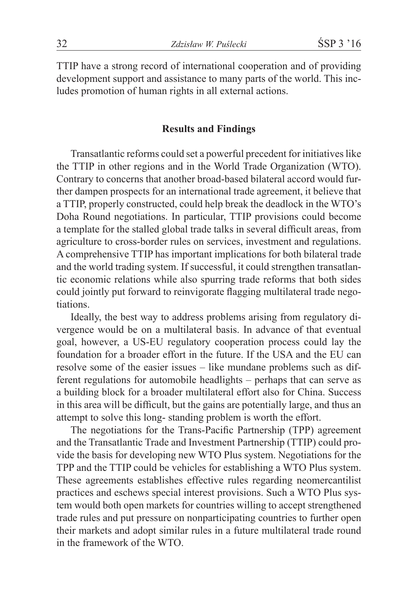TTIP have a strong record of international cooperation and of providing development support and assistance to many parts of the world. This includes promotion of human rights in all external actions.

#### **Results and Findings**

Transatlantic reforms could set a powerful precedent for initiatives like the TTIP in other regions and in the World Trade Organization (WTO). Contrary to concerns that another broad-based bilateral accord would further dampen prospects for an international trade agreement, it believe that a TTIP, properly constructed, could help break the deadlock in the WTO's Doha Round negotiations. In particular, TTIP provisions could become a template for the stalled global trade talks in several difficult areas, from agriculture to cross-border rules on services, investment and regulations. A comprehensive TTIP has important implications for both bilateral trade and the world trading system. If successful, it could strengthen transatlantic economic relations while also spurring trade reforms that both sides could jointly put forward to reinvigorate flagging multilateral trade negotiations.

Ideally, the best way to address problems arising from regulatory divergence would be on a multilateral basis. In advance of that eventual goal, however, a US-EU regulatory cooperation process could lay the foundation for a broader effort in the future. If the USA and the EU can resolve some of the easier issues – like mundane problems such as different regulations for automobile headlights – perhaps that can serve as a building block for a broader multilateral effort also for China. Success in this area will be difficult, but the gains are potentially large, and thus an attempt to solve this long- standing problem is worth the effort.

The negotiations for the Trans-Pacific Partnership (TPP) agreement and the Transatlantic Trade and Investment Partnership (TTIP) could provide the basis for developing new WTO Plus system. Negotiations for the TPP and the TTIP could be vehicles for establishing a WTO Plus system. These agreements establishes effective rules regarding neomercantilist practices and eschews special interest provisions. Such a WTO Plus system would both open markets for countries willing to accept strengthened trade rules and put pressure on nonparticipating countries to further open their markets and adopt similar rules in a future multilateral trade round in the framework of the WTO.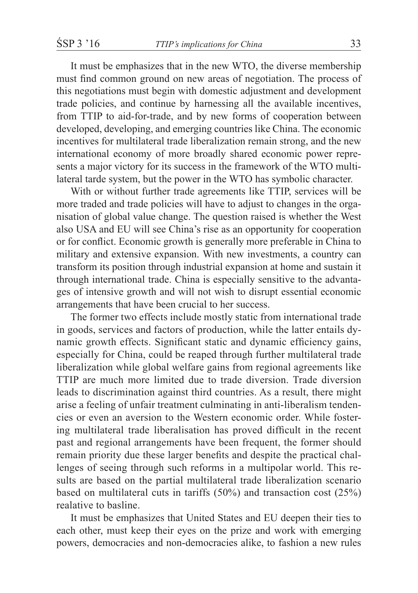It must be emphasizes that in the new WTO, the diverse membership must find common ground on new areas of negotiation. The process of this negotiations must begin with domestic adjustment and development trade policies, and continue by harnessing all the available incentives, from TTIP to aid-for-trade, and by new forms of cooperation between developed, developing, and emerging countries like China. The economic incentives for multilateral trade liberalization remain strong, and the new international economy of more broadly shared economic power represents a major victory for its success in the framework of the WTO multilateral tarde system, but the power in the WTO has symbolic character.

With or without further trade agreements like TTIP, services will be more traded and trade policies will have to adjust to changes in the organisation of global value change. The question raised is whether the West also USA and EU will see China's rise as an opportunity for cooperation or for conflict. Economic growth is generally more preferable in China to military and extensive expansion. With new investments, a country can transform its position through industrial expansion at home and sustain it through international trade. China is especially sensitive to the advantages of intensive growth and will not wish to disrupt essential economic arrangements that have been crucial to her success.

The former two effects include mostly static from international trade in goods, services and factors of production, while the latter entails dynamic growth effects. Significant static and dynamic efficiency gains, especially for China, could be reaped through further multilateral trade liberalization while global welfare gains from regional agreements like TTIP are much more limited due to trade diversion. Trade diversion leads to discrimination against third countries. As a result, there might arise a feeling of unfair treatment culminating in anti-liberalism tendencies or even an aversion to the Western economic order. While fostering multilateral trade liberalisation has proved difficult in the recent past and regional arrangements have been frequent, the former should remain priority due these larger benefits and despite the practical challenges of seeing through such reforms in a multipolar world. This results are based on the partial multilateral trade liberalization scenario based on multilateral cuts in tariffs (50%) and transaction cost (25%) realative to basline.

It must be emphasizes that United States and EU deepen their ties to each other, must keep their eyes on the prize and work with emerging powers, democracies and non-democracies alike, to fashion a new rules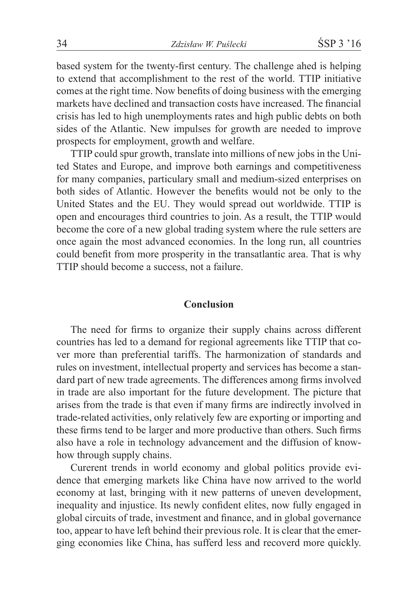based system for the twenty-first century. The challenge ahed is helping to extend that accomplishment to the rest of the world. TTIP initiative comes at the right time. Now benefits of doing business with the emerging markets have declined and transaction costs have increased. The financial crisis has led to high unemployments rates and high public debts on both sides of the Atlantic. New impulses for growth are needed to improve prospects for employment, growth and welfare.

TTIP could spur growth, translate into millions of new jobs in the United States and Europe, and improve both earnings and competitiveness for many companies, particulary small and medium-sized enterprises on both sides of Atlantic. However the benefits would not be only to the United States and the EU. They would spread out worldwide. TTIP is open and encourages third countries to join. As a result, the TTIP would become the core of a new global trading system where the rule setters are once again the most advanced economies. In the long run, all countries could benefit from more prosperity in the transatlantic area. That is why TTIP should become a success, not a failure.

### **Conclusion**

The need for firms to organize their supply chains across different countries has led to a demand for regional agreements like TTIP that cover more than preferential tariffs. The harmonization of standards and rules on investment, intellectual property and services has become a standard part of new trade agreements. The differences among firms involved in trade are also important for the future development. The picture that arises from the trade is that even if many firms are indirectly involved in trade-related activities, only relatively few are exporting or importing and these firms tend to be larger and more productive than others. Such firms also have a role in technology advancement and the diffusion of knowhow through supply chains.

Curerent trends in world economy and global politics provide evidence that emerging markets like China have now arrived to the world economy at last, bringing with it new patterns of uneven development, inequality and injustice. Its newly confident elites, now fully engaged in global circuits of trade, investment and finance, and in global governance too, appear to have left behind their previous role. It is clear that the emerging economies like China, has sufferd less and recoverd more quickly.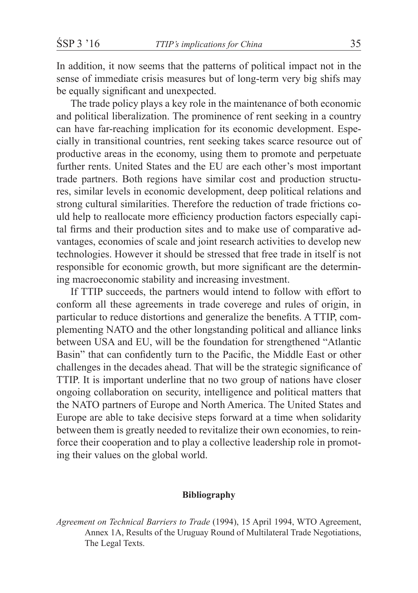In addition, it now seems that the patterns of political impact not in the sense of immediate crisis measures but of long-term very big shifs may be equally significant and unexpected.

The trade policy plays a key role in the maintenance of both economic and political liberalization. The prominence of rent seeking in a country can have far-reaching implication for its economic development. Especially in transitional countries, rent seeking takes scarce resource out of productive areas in the economy, using them to promote and perpetuate further rents. United States and the EU are each other's most important trade partners. Both regions have similar cost and production structures, similar levels in economic development, deep political relations and strong cultural similarities. Therefore the reduction of trade frictions could help to reallocate more efficiency production factors especially capital firms and their production sites and to make use of comparative advantages, economies of scale and joint research activities to develop new technologies. However it should be stressed that free trade in itself is not responsible for economic growth, but more significant are the determining macroeconomic stability and increasing investment.

If TTIP succeeds, the partners would intend to follow with effort to conform all these agreements in trade coverege and rules of origin, in particular to reduce distortions and generalize the benefits. A TTIP, complementing NATO and the other longstanding political and alliance links between USA and EU, will be the foundation for strengthened "Atlantic Basin" that can confidently turn to the Pacific, the Middle East or other challenges in the decades ahead. That will be the strategic significance of TTIP. It is important underline that no two group of nations have closer ongoing collaboration on security, intelligence and political matters that the NATO partners of Europe and North America. The United States and Europe are able to take decisive steps forward at a time when solidarity between them is greatly needed to revitalize their own economies, to reinforce their cooperation and to play a collective leadership role in promoting their values on the global world.

#### **Bibliography**

*Agreement on Technical Barriers to Trade* (1994), 15 April 1994, WTO Agreement, Annex 1A, Results of the Uruguay Round of Multilateral Trade Negotiations, The Legal Texts.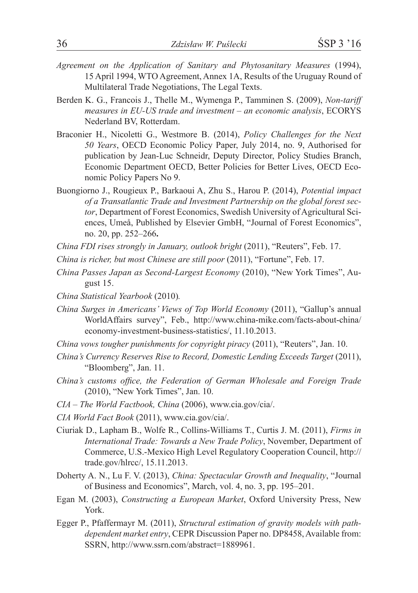- *Agreement on the Application of Sanitary and Phytosanitary Measures* (1994), 15 April 1994, WTO Agreement, Annex 1A, Results of the Uruguay Round of Multilateral Trade Negotiations, The Legal Texts.
- Berden K. G., Francois J., Thelle M., Wymenga P., Tamminen S. (2009), *Non-tariff measures in EU-US trade and investment – an economic analysis*, ECORYS Nederland BV, Rotterdam.
- Braconier H., Nicoletti G., Westmore B. (2014), *Policy Challenges for the Next 50 Years*, OECD Economic Policy Paper, July 2014, no. 9, Authorised for publication by Jean-Luc Schneidr, Deputy Director, Policy Studies Branch, Economic Department OECD, Better Policies for Better Lives, OECD Economic Policy Papers No 9.
- Buongiorno J., Rougieux P., Barkaoui A, Zhu S., Harou P. (2014), *Potential impact of a Transatlantic Trade and Investment Partnership on the global forest sector*, Department of Forest Economics, Swedish University of Agricultural Sciences, Umeå, Published by Elsevier GmbH, "Journal of Forest Economics", no. 20, pp. 252–266**.**

*China FDI rises strongly in January, outlook bright* (2011), "Reuters", Feb. 17.

- *China is richer, but most Chinese are still poor* (2011), "Fortune", Feb. 17.
- *China Passes Japan as Second-Largest Economy* (2010), "New York Times", August 15.
- *China Statistical Yearbook* (2010)*.*
- *China Surges in Americans' Views of Top World Economy* (2011), "Gallup's annual WorldAffairs survey", Feb., http://www.china-mike.com/facts-about-china/ economy-investment-business-statistics/, 11.10.2013.
- *China vows tougher punishments for copyright piracy* (2011), "Reuters", Jan. 10.
- *China's Currency Reserves Rise to Record, Domestic Lending Exceeds Target* (2011), "Bloomberg", Jan. 11.
- *China's customs office, the Federation of German Wholesale and Foreign Trade* (2010), "New York Times", Jan. 10.
- *CIA – The World Factbook, China* (2006), www.cia.gov/cia/.
- *CIA World Fact Book* (2011), www.cia.gov/cia/.
- Ciuriak D., Lapham B., Wolfe R., Collins-Williams T., Curtis J. M. (2011), *Firms in International Trade: Towards a New Trade Policy*, November, Department of Commerce, U.S.-Mexico High Level Regulatory Cooperation Council, http:// trade.gov/hlrcc/, 15.11.2013.
- Doherty A. N., Lu F. V. (2013), *China: Spectacular Growth and Inequality*, "Journal of Business and Economics", March, vol. 4, no. 3, pp. 195–201.
- Egan M. (2003), *Constructing a European Market*, Oxford University Press, New York.
- Egger P., Pfaffermayr M. (2011), *Structural estimation of gravity models with pathdependent market entry*, CEPR Discussion Paper no. DP8458, Available from: SSRN, http://www.ssrn.com/abstract=1889961.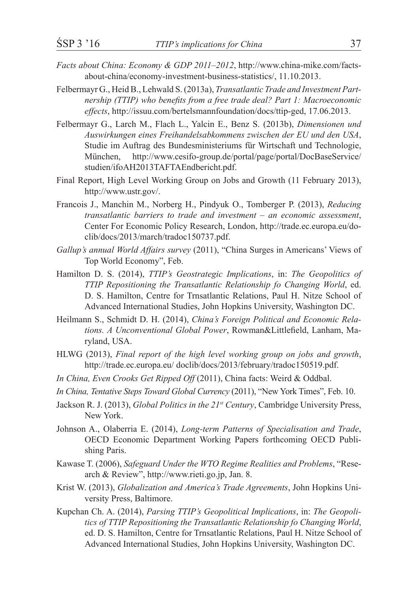- *Facts about China: Economy & GDP 2011–2012*, http://www.china-mike.com/factsabout-china/economy-investment-business-statistics/, 11.10.2013.
- Felbermayr G., Heid B., Lehwald S. (2013a), *Transatlantic Trade and Investment Partnership (TTIP) who benefits from a free trade deal? Part 1: Macroeconomic effects*, http://issuu.com/bertelsmannfoundation/docs/ttip-ged, 17.06.2013.
- Felbermayr G., Larch M., Flach L., Yalcin E., Benz S. (2013b), *Dimensionen und Auswirkungen eines Freihandelsabkommens zwischen der EU und den USA*, Studie im Auftrag des Bundesministeriums für Wirtschaft und Technologie, München, http://www.cesifo-group.de/portal/page/portal/DocBaseService/ studien/ifoAH2013TAFTAEndbericht.pdf.
- Final Report, High Level Working Group on Jobs and Growth (11 February 2013), http://www.ustr.gov/.
- Francois J., Manchin M., Norberg H., Pindyuk O., Tomberger P. (2013), *Reducing transatlantic barriers to trade and investment – an economic assessment*, Center For Economic Policy Research, London, http://trade.ec.europa.eu/doclib/docs/2013/march/tradoc150737.pdf.
- *Gallup's annual World Affairs survey* (2011), "China Surges in Americans' Views of Top World Economy", Feb.
- Hamilton D. S. (2014), *TTIP's Geostrategic Implications*, in: *The Geopolitics of TTIP Repositioning the Transatlantic Relationship fo Changing World*, ed. D. S. Hamilton, Centre for Trnsatlantic Relations, Paul H. Nitze School of Advanced International Studies, John Hopkins University, Washington DC.
- Heilmann S., Schmidt D. H. (2014), *China's Foreign Political and Economic Relations. A Unconventional Global Power*, Rowman&Littlefield, Lanham, Maryland, USA.
- HLWG (2013), *Final report of the high level working group on jobs and growth*, http://trade.ec.europa.eu/ doclib/docs/2013/february/tradoc150519.pdf.
- *In China, Even Crooks Get Ripped Off* (2011), China facts: Weird & Oddbal.
- *In China, Tentative Steps Toward Global Currency* (2011), "New York Times", Feb. 10.
- Jackson R. J. (2013), *Global Politics in the 21st Century*, Cambridge University Press, New York.
- Johnson A., Olaberria E. (2014), *Long-term Patterns of Specialisation and Trade*, OECD Economic Department Working Papers forthcoming OECD Publishing Paris.
- Kawase T. (2006), *Safeguard Under the WTO Regime Realities and Problems*, "Research & Review", http://www.rieti.go.jp, Jan. 8.
- Krist W. (2013), *Globalization and America's Trade Agreements*, John Hopkins University Press, Baltimore.
- Kupchan Ch. A. (2014), *Parsing TTIP's Geopolitical Implications*, in: *The Geopolitics of TTIP Repositioning the Transatlantic Relationship fo Changing World*, ed. D. S. Hamilton, Centre for Trnsatlantic Relations, Paul H. Nitze School of Advanced International Studies, John Hopkins University, Washington DC.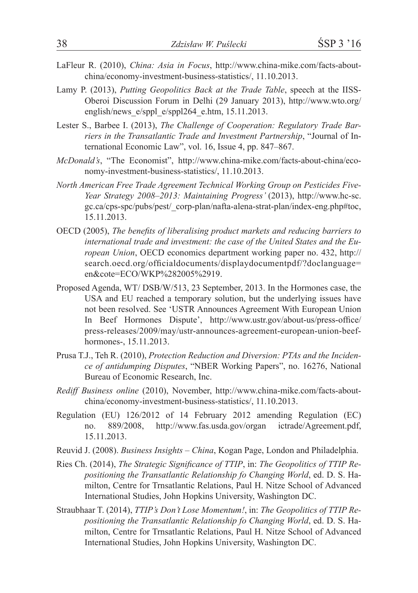- LaFleur R. (2010), *China: Asia in Focus*, http://www.china-mike.com/facts-aboutchina/economy-investment-business-statistics/, 11.10.2013.
- Lamy P. (2013), *Putting Geopolitics Back at the Trade Table*, speech at the IISS-Oberoi Discussion Forum in Delhi (29 January 2013), http://www.wto.org/ english/news  $e$ /sppl $264$  e.htm, 15.11.2013.
- Lester S., Barbee I. (2013), *The Challenge of Cooperation: Regulatory Trade Barriers in the Transatlantic Trade and Investment Partnership*, "Journal of International Economic Law", vol. 16, Issue 4, pp. 847–867.
- *McDonald's*, "The Economist", http://www.china-mike.com/facts-about-china/economy-investment-business-statistics/, 11.10.2013.
- *North American Free Trade Agreement Technical Working Group on Pesticides Five-Year Strategy 2008–2013: Maintaining Progress'* (2013), http://www.hc-sc. gc.ca/cps-spc/pubs/pest/\_corp-plan/nafta-alena-strat-plan/index-eng.php#toc, 15.11.2013.
- OECD (2005), *The benefits of liberalising product markets and reducing barriers to international trade and investment: the case of the United States and the European Union*, OECD economics department working paper no. 432, http:// search.oecd.org/officialdocuments/displaydocumentpdf/?doclanguage= en&cote=ECO/WKP%282005%2919.
- Proposed Agenda, WT/ DSB/W/513, 23 September, 2013. In the Hormones case, the USA and EU reached a temporary solution, but the underlying issues have not been resolved. See 'USTR Announces Agreement With European Union In Beef Hormones Dispute', http://www.ustr.gov/about-us/press-office/ press-releases/2009/may/ustr-announces-agreement-european-union-beefhormones-, 15.11.2013.
- Prusa T.J., Teh R. (2010), *Protection Reduction and Diversion: PTAs and the Incidence of antidumping Disputes*, "NBER Working Papers", no. 16276, National Bureau of Economic Research, Inc.
- *Rediff Business online* (2010), November, http://www.china-mike.com/facts-aboutchina/economy-investment-business-statistics/, 11.10.2013.
- Regulation (EU) 126/2012 of 14 February 2012 amending Regulation (EC) no. 889/2008, http://www.fas.usda.gov/organ ictrade/Agreement.pdf, 15.11.2013.
- Reuvid J. (2008). *Business Insights – China*, Kogan Page, London and Philadelphia.
- Ries Ch. (2014), *The Strategic Significance of TTIP*, in: *The Geopolitics of TTIP Repositioning the Transatlantic Relationship fo Changing World*, ed. D. S. Hamilton, Centre for Trnsatlantic Relations, Paul H. Nitze School of Advanced International Studies, John Hopkins University, Washington DC.
- Straubhaar T. (2014), *TTIP's Don't Lose Momentum!*, in: *The Geopolitics of TTIP Repositioning the Transatlantic Relationship fo Changing World*, ed. D. S. Hamilton, Centre for Trnsatlantic Relations, Paul H. Nitze School of Advanced International Studies, John Hopkins University, Washington DC.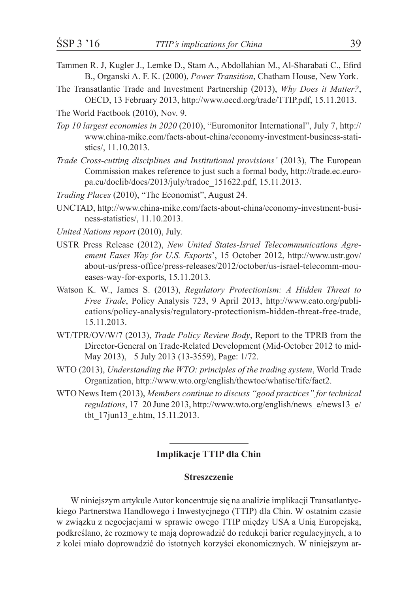- 
- Tammen R. J, Kugler J., Lemke D., Stam A., Abdollahian M., Al-Sharabati C., Efird B., Organski A. F. K. (2000), *Power Transition*, Chatham House, New York.
- The Transatlantic Trade and Investment Partnership (2013), *Why Does it Matter?*, OECD, 13 February 2013, http://www.oecd.org/trade/TTIP.pdf, 15.11.2013.
- The World Factbook (2010), Nov. 9.
- *Top 10 largest economies in 2020* (2010), "Euromonitor International", July 7, http:// www.china-mike.com/facts-about-china/economy-investment-business-statistics/, 11.10.2013.
- *Trade Cross-cutting disciplines and Institutional provisions'* (2013), The European Commission makes reference to just such a formal body, http://trade.ec.europa.eu/doclib/docs/2013/july/tradoc\_151622.pdf, 15.11.2013.
- *Trading Places* (2010), "The Economist", August 24.
- UNCTAD, http://www.china-mike.com/facts-about-china/economy-investment-business-statistics/, 11.10.2013.
- *United Nations report* (2010), July.
- USTR Press Release (2012), *New United States-Israel Telecommunications Agreement Eases Way for U.S. Exports*', 15 October 2012, http://www.ustr.gov/ about-us/press-office/press-releases/2012/october/us-israel-telecomm-moueases-way-for-exports, 15.11.2013.
- Watson K. W., James S. (2013), *Regulatory Protectionism: A Hidden Threat to Free Trade*, Policy Analysis 723, 9 April 2013, http://www.cato.org/publications/policy-analysis/regulatory-protectionism-hidden-threat-free-trade, 15.11.2013.
- WT/TPR/OV/W/7 (2013), *Trade Policy Review Body*, Report to the TPRB from the Director-General on Trade-Related Development (Mid-October 2012 to mid-May 2013), 5 July 2013 (13-3559), Page: 1/72.
- WTO (2013), *Understanding the WTO: principles of the trading system*, World Trade Organization, http://www.wto.org/english/thewtoe/whatise/tife/fact2.
- WTO News Item (2013), *Members continue to discuss "good practices" for technical regulations*, 17–20 June 2013, http://www.wto.org/english/news\_e/news13\_e/ tbt\_17jun13\_e.htm, 15.11.2013.

### **Implikacje TTIP dla Chin**

### **Streszczenie**

W niniejszym artykule Autor koncentruje się na analizie implikacji Transatlantyckiego Partnerstwa Handlowego i Inwestycjnego (TTIP) dla Chin. W ostatnim czasie w związku z negocjacjami w sprawie owego TTIP między USA a Unią Europejską, podkreślano, że rozmowy te mają doprowadzić do redukcji barier regulacyjnych, a to z kolei miało doprowadzić do istotnych korzyści ekonomicznych. W niniejszym ar